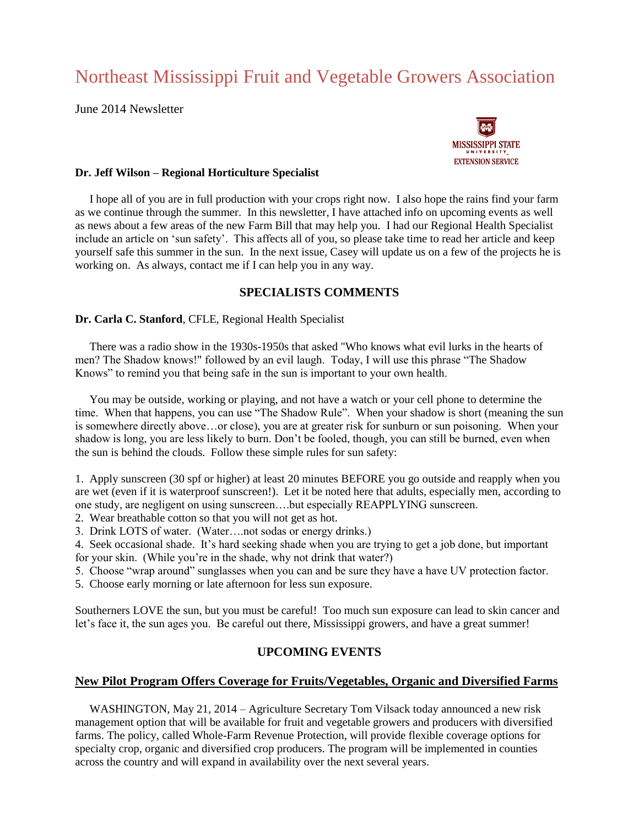# Northeast Mississippi Fruit and Vegetable Growers Association

June 2014 Newsletter



## **Dr. Jeff Wilson – Regional Horticulture Specialist**

I hope all of you are in full production with your crops right now. I also hope the rains find your farm as we continue through the summer. In this newsletter, I have attached info on upcoming events as well as news about a few areas of the new Farm Bill that may help you. I had our Regional Health Specialist include an article on 'sun safety'. This affects all of you, so please take time to read her article and keep yourself safe this summer in the sun. In the next issue, Casey will update us on a few of the projects he is working on. As always, contact me if I can help you in any way.

# **SPECIALISTS COMMENTS**

## **Dr. Carla C. Stanford**, CFLE, Regional Health Specialist

 There was a radio show in the 1930s-1950s that asked "Who knows what evil lurks in the hearts of men? The Shadow knows!" followed by an evil laugh. Today, I will use this phrase "The Shadow Knows" to remind you that being safe in the sun is important to your own health.

 You may be outside, working or playing, and not have a watch or your cell phone to determine the time. When that happens, you can use "The Shadow Rule". When your shadow is short (meaning the sun is somewhere directly above…or close), you are at greater risk for sunburn or sun poisoning. When your shadow is long, you are less likely to burn. Don't be fooled, though, you can still be burned, even when the sun is behind the clouds. Follow these simple rules for sun safety:

1. Apply sunscreen (30 spf or higher) at least 20 minutes BEFORE you go outside and reapply when you are wet (even if it is waterproof sunscreen!). Let it be noted here that adults, especially men, according to one study, are negligent on using sunscreen….but especially REAPPLYING sunscreen.

2. Wear breathable cotton so that you will not get as hot.

3. Drink LOTS of water. (Water….not sodas or energy drinks.)

4. Seek occasional shade. It's hard seeking shade when you are trying to get a job done, but important for your skin. (While you're in the shade, why not drink that water?)

5. Choose "wrap around" sunglasses when you can and be sure they have a have UV protection factor.

5. Choose early morning or late afternoon for less sun exposure.

Southerners LOVE the sun, but you must be careful! Too much sun exposure can lead to skin cancer and let's face it, the sun ages you. Be careful out there, Mississippi growers, and have a great summer!

# **UPCOMING EVENTS**

## **New Pilot Program Offers Coverage for Fruits/Vegetables, Organic and Diversified Farms**

 WASHINGTON, May 21, 2014 – Agriculture Secretary Tom Vilsack today announced a new risk management option that will be available for fruit and vegetable growers and producers with diversified farms. The policy, called Whole-Farm Revenue Protection, will provide flexible coverage options for specialty crop, organic and diversified crop producers. The program will be implemented in counties across the country and will expand in availability over the next several years.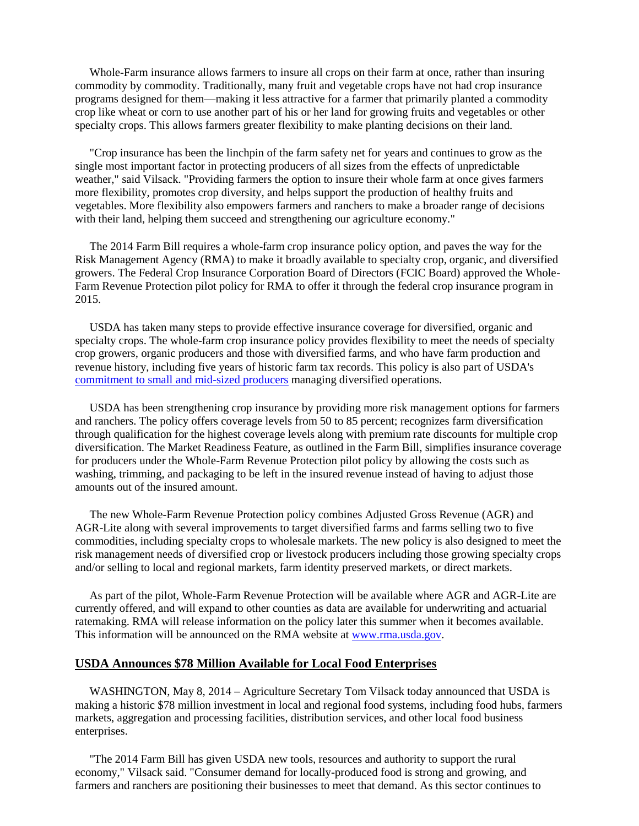Whole-Farm insurance allows farmers to insure all crops on their farm at once, rather than insuring commodity by commodity. Traditionally, many fruit and vegetable crops have not had crop insurance programs designed for them—making it less attractive for a farmer that primarily planted a commodity crop like wheat or corn to use another part of his or her land for growing fruits and vegetables or other specialty crops. This allows farmers greater flexibility to make planting decisions on their land.

 "Crop insurance has been the linchpin of the farm safety net for years and continues to grow as the single most important factor in protecting producers of all sizes from the effects of unpredictable weather," said Vilsack. "Providing farmers the option to insure their whole farm at once gives farmers more flexibility, promotes crop diversity, and helps support the production of healthy fruits and vegetables. More flexibility also empowers farmers and ranchers to make a broader range of decisions with their land, helping them succeed and strengthening our agriculture economy."

 The 2014 Farm Bill requires a whole-farm crop insurance policy option, and paves the way for the Risk Management Agency (RMA) to make it broadly available to specialty crop, organic, and diversified growers. The Federal Crop Insurance Corporation Board of Directors (FCIC Board) approved the Whole-Farm Revenue Protection pilot policy for RMA to offer it through the federal crop insurance program in 2015.

 USDA has taken many steps to provide effective insurance coverage for diversified, organic and specialty crops. The whole-farm crop insurance policy provides flexibility to meet the needs of specialty crop growers, organic producers and those with diversified farms, and who have farm production and revenue history, including five years of historic farm tax records. This policy is also part of USDA's [commitment to small and mid-sized producers](http://links.govdelivery.com/track?type=click&enid=ZWFzPTEmbWFpbGluZ2lkPTIwMTQwNTIxLjMyMzkxMTUxJm1lc3NhZ2VpZD1NREItUFJELUJVTC0yMDE0MDUyMS4zMjM5MTE1MSZkYXRhYmFzZWlkPTEwMDEmc2VyaWFsPTE2OTQ4OTQ5JmVtYWlsaWQ9c3VzYW5AbWRhYy5tcy5nb3YmdXNlcmlkPXN1c2FuQG1kYWMubXMuZ292JmZsPSZleHRyYT1NdWx0aXZhcmlhdGVJZD0mJiY=&&&101&&&http://www.usda.gov/wps/portal/usda/usdahome?contentidonly=true&contentid=small-midsized-farmer-resources.xml) managing diversified operations.

 USDA has been strengthening crop insurance by providing more risk management options for farmers and ranchers. The policy offers coverage levels from 50 to 85 percent; recognizes farm diversification through qualification for the highest coverage levels along with premium rate discounts for multiple crop diversification. The Market Readiness Feature, as outlined in the Farm Bill, simplifies insurance coverage for producers under the Whole-Farm Revenue Protection pilot policy by allowing the costs such as washing, trimming, and packaging to be left in the insured revenue instead of having to adjust those amounts out of the insured amount.

 The new Whole-Farm Revenue Protection policy combines Adjusted Gross Revenue (AGR) and AGR-Lite along with several improvements to target diversified farms and farms selling two to five commodities, including specialty crops to wholesale markets. The new policy is also designed to meet the risk management needs of diversified crop or livestock producers including those growing specialty crops and/or selling to local and regional markets, farm identity preserved markets, or direct markets.

 As part of the pilot, Whole-Farm Revenue Protection will be available where AGR and AGR-Lite are currently offered, and will expand to other counties as data are available for underwriting and actuarial ratemaking. RMA will release information on the policy later this summer when it becomes available. This information will be announced on the RMA website at [www.rma.usda.gov.](http://links.govdelivery.com/track?type=click&enid=ZWFzPTEmbWFpbGluZ2lkPTIwMTQwNTIxLjMyMzkxMTUxJm1lc3NhZ2VpZD1NREItUFJELUJVTC0yMDE0MDUyMS4zMjM5MTE1MSZkYXRhYmFzZWlkPTEwMDEmc2VyaWFsPTE2OTQ4OTQ5JmVtYWlsaWQ9c3VzYW5AbWRhYy5tcy5nb3YmdXNlcmlkPXN1c2FuQG1kYWMubXMuZ292JmZsPSZleHRyYT1NdWx0aXZhcmlhdGVJZD0mJiY=&&&102&&&http://www.rma.usda.gov/)

#### **USDA Announces \$78 Million Available for Local Food Enterprises**

 WASHINGTON, May 8, 2014 – Agriculture Secretary Tom Vilsack today announced that USDA is making a historic \$78 million investment in local and regional food systems, including food hubs, farmers markets, aggregation and processing facilities, distribution services, and other local food business enterprises.

 "The 2014 Farm Bill has given USDA new tools, resources and authority to support the rural economy," Vilsack said. "Consumer demand for locally-produced food is strong and growing, and farmers and ranchers are positioning their businesses to meet that demand. As this sector continues to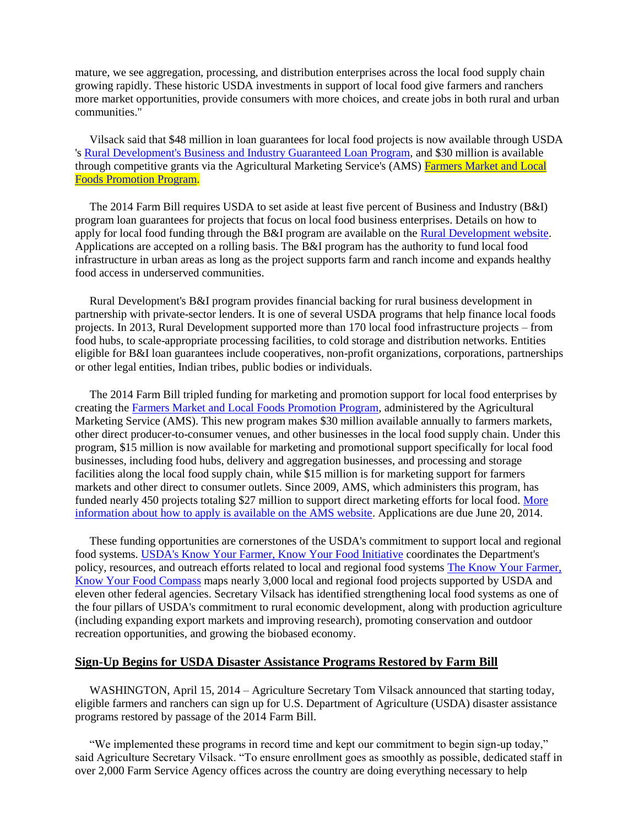mature, we see aggregation, processing, and distribution enterprises across the local food supply chain growing rapidly. These historic USDA investments in support of local food give farmers and ranchers more market opportunities, provide consumers with more choices, and create jobs in both rural and urban communities."

 Vilsack said that \$48 million in loan guarantees for local food projects is now available through USDA 's [Rural Development's Business and Industry Guaranteed Loan Program,](http://links.govdelivery.com/track?type=click&enid=ZWFzPTEmbWFpbGluZ2lkPTIwMTQwNTA4LjMyMDA3OTExJm1lc3NhZ2VpZD1NREItUFJELUJVTC0yMDE0MDUwOC4zMjAwNzkxMSZkYXRhYmFzZWlkPTEwMDEmc2VyaWFsPTE2OTM4OTIzJmVtYWlsaWQ9c3VzYW5AbWRhYy5tcy5nb3YmdXNlcmlkPXN1c2FuQG1kYWMubXMuZ292JmZsPSZleHRyYT1NdWx0aXZhcmlhdGVJZD0mJiY=&&&101&&&http://www.rurdev.usda.gov/BCP_gar.html) and \$30 million is available through competitive grants via the Agricultural Marketing Service's (AMS) [Farmers Market and Local](http://links.govdelivery.com/track?type=click&enid=ZWFzPTEmbWFpbGluZ2lkPTIwMTQwNTA4LjMyMDA3OTExJm1lc3NhZ2VpZD1NREItUFJELUJVTC0yMDE0MDUwOC4zMjAwNzkxMSZkYXRhYmFzZWlkPTEwMDEmc2VyaWFsPTE2OTM4OTIzJmVtYWlsaWQ9c3VzYW5AbWRhYy5tcy5nb3YmdXNlcmlkPXN1c2FuQG1kYWMubXMuZ292JmZsPSZleHRyYT1NdWx0aXZhcmlhdGVJZD0mJiY=&&&102&&&http://www.ams.usda.gov/AMSv1.0/ams.fetchTemplateData.do?template=TemplateN&navID=WholesaleandFarmersMarkets&leftNav=WholesaleandFarmersMarkets&page=FMPP&description=Farmers%20Market%20Promotion%20Program&acct=fmpp)  [Foods Promotion Program.](http://links.govdelivery.com/track?type=click&enid=ZWFzPTEmbWFpbGluZ2lkPTIwMTQwNTA4LjMyMDA3OTExJm1lc3NhZ2VpZD1NREItUFJELUJVTC0yMDE0MDUwOC4zMjAwNzkxMSZkYXRhYmFzZWlkPTEwMDEmc2VyaWFsPTE2OTM4OTIzJmVtYWlsaWQ9c3VzYW5AbWRhYy5tcy5nb3YmdXNlcmlkPXN1c2FuQG1kYWMubXMuZ292JmZsPSZleHRyYT1NdWx0aXZhcmlhdGVJZD0mJiY=&&&102&&&http://www.ams.usda.gov/AMSv1.0/ams.fetchTemplateData.do?template=TemplateN&navID=WholesaleandFarmersMarkets&leftNav=WholesaleandFarmersMarkets&page=FMPP&description=Farmers%20Market%20Promotion%20Program&acct=fmpp)

 The 2014 Farm Bill requires USDA to set aside at least five percent of Business and Industry (B&I) program loan guarantees for projects that focus on local food business enterprises. Details on how to apply for local food funding through the B&I program are available on the [Rural Development website.](http://links.govdelivery.com/track?type=click&enid=ZWFzPTEmbWFpbGluZ2lkPTIwMTQwNTA4LjMyMDA3OTExJm1lc3NhZ2VpZD1NREItUFJELUJVTC0yMDE0MDUwOC4zMjAwNzkxMSZkYXRhYmFzZWlkPTEwMDEmc2VyaWFsPTE2OTM4OTIzJmVtYWlsaWQ9c3VzYW5AbWRhYy5tcy5nb3YmdXNlcmlkPXN1c2FuQG1kYWMubXMuZ292JmZsPSZleHRyYT1NdWx0aXZhcmlhdGVJZD0mJiY=&&&103&&&http://www.rurdev.usda.gov/) Applications are accepted on a rolling basis. The B&I program has the authority to fund local food infrastructure in urban areas as long as the project supports farm and ranch income and expands healthy food access in underserved communities.

 Rural Development's B&I program provides financial backing for rural business development in partnership with private-sector lenders. It is one of several USDA programs that help finance local foods projects. In 2013, Rural Development supported more than 170 local food infrastructure projects – from food hubs, to scale-appropriate processing facilities, to cold storage and distribution networks. Entities eligible for B&I loan guarantees include cooperatives, non-profit organizations, corporations, partnerships or other legal entities, Indian tribes, public bodies or individuals.

 The 2014 Farm Bill tripled funding for marketing and promotion support for local food enterprises by creating the [Farmers Market and Local Foods Promotion Program,](http://links.govdelivery.com/track?type=click&enid=ZWFzPTEmbWFpbGluZ2lkPTIwMTQwNTA4LjMyMDA3OTExJm1lc3NhZ2VpZD1NREItUFJELUJVTC0yMDE0MDUwOC4zMjAwNzkxMSZkYXRhYmFzZWlkPTEwMDEmc2VyaWFsPTE2OTM4OTIzJmVtYWlsaWQ9c3VzYW5AbWRhYy5tcy5nb3YmdXNlcmlkPXN1c2FuQG1kYWMubXMuZ292JmZsPSZleHRyYT1NdWx0aXZhcmlhdGVJZD0mJiY=&&&104&&&http://www.ams.usda.gov/AMSv1.0/fmpp) administered by the Agricultural Marketing Service (AMS). This new program makes \$30 million available annually to farmers markets, other direct producer-to-consumer venues, and other businesses in the local food supply chain. Under this program, \$15 million is now available for marketing and promotional support specifically for local food businesses, including food hubs, delivery and aggregation businesses, and processing and storage facilities along the local food supply chain, while \$15 million is for marketing support for farmers markets and other direct to consumer outlets. Since 2009, AMS, which administers this program, has funded nearly 450 projects totaling \$27 million to support direct marketing efforts for local food. [More](http://links.govdelivery.com/track?type=click&enid=ZWFzPTEmbWFpbGluZ2lkPTIwMTQwNTA4LjMyMDA3OTExJm1lc3NhZ2VpZD1NREItUFJELUJVTC0yMDE0MDUwOC4zMjAwNzkxMSZkYXRhYmFzZWlkPTEwMDEmc2VyaWFsPTE2OTM4OTIzJmVtYWlsaWQ9c3VzYW5AbWRhYy5tcy5nb3YmdXNlcmlkPXN1c2FuQG1kYWMubXMuZ292JmZsPSZleHRyYT1NdWx0aXZhcmlhdGVJZD0mJiY=&&&105&&&http://www.ams.usda.gov/AMSv1.0/ams.fetchTemplateData.do?template=TemplateA&navID=WholesaleandFarmersMarkets&leftNav=WholesaleandFarmersMarkets&page=WholesaleAndFarmersMarkets&acct=AMSPW)  [information about how to apply is available on the AMS website.](http://links.govdelivery.com/track?type=click&enid=ZWFzPTEmbWFpbGluZ2lkPTIwMTQwNTA4LjMyMDA3OTExJm1lc3NhZ2VpZD1NREItUFJELUJVTC0yMDE0MDUwOC4zMjAwNzkxMSZkYXRhYmFzZWlkPTEwMDEmc2VyaWFsPTE2OTM4OTIzJmVtYWlsaWQ9c3VzYW5AbWRhYy5tcy5nb3YmdXNlcmlkPXN1c2FuQG1kYWMubXMuZ292JmZsPSZleHRyYT1NdWx0aXZhcmlhdGVJZD0mJiY=&&&105&&&http://www.ams.usda.gov/AMSv1.0/ams.fetchTemplateData.do?template=TemplateA&navID=WholesaleandFarmersMarkets&leftNav=WholesaleandFarmersMarkets&page=WholesaleAndFarmersMarkets&acct=AMSPW) Applications are due June 20, 2014.

 These funding opportunities are cornerstones of the USDA's commitment to support local and regional food systems. [USDA's Know Your Farmer, Know Your Food Initiative](http://links.govdelivery.com/track?type=click&enid=ZWFzPTEmbWFpbGluZ2lkPTIwMTQwNTA4LjMyMDA3OTExJm1lc3NhZ2VpZD1NREItUFJELUJVTC0yMDE0MDUwOC4zMjAwNzkxMSZkYXRhYmFzZWlkPTEwMDEmc2VyaWFsPTE2OTM4OTIzJmVtYWlsaWQ9c3VzYW5AbWRhYy5tcy5nb3YmdXNlcmlkPXN1c2FuQG1kYWMubXMuZ292JmZsPSZleHRyYT1NdWx0aXZhcmlhdGVJZD0mJiY=&&&106&&&http://www.usda.gov/knowyourfarmer) coordinates the Department's policy, resources, and outreach efforts related to local and regional food systems [The Know Your Farmer,](http://links.govdelivery.com/track?type=click&enid=ZWFzPTEmbWFpbGluZ2lkPTIwMTQwNTA4LjMyMDA3OTExJm1lc3NhZ2VpZD1NREItUFJELUJVTC0yMDE0MDUwOC4zMjAwNzkxMSZkYXRhYmFzZWlkPTEwMDEmc2VyaWFsPTE2OTM4OTIzJmVtYWlsaWQ9c3VzYW5AbWRhYy5tcy5nb3YmdXNlcmlkPXN1c2FuQG1kYWMubXMuZ292JmZsPSZleHRyYT1NdWx0aXZhcmlhdGVJZD0mJiY=&&&107&&&http://www.usda.gov/kyfcompass)  [Know Your Food Compass](http://links.govdelivery.com/track?type=click&enid=ZWFzPTEmbWFpbGluZ2lkPTIwMTQwNTA4LjMyMDA3OTExJm1lc3NhZ2VpZD1NREItUFJELUJVTC0yMDE0MDUwOC4zMjAwNzkxMSZkYXRhYmFzZWlkPTEwMDEmc2VyaWFsPTE2OTM4OTIzJmVtYWlsaWQ9c3VzYW5AbWRhYy5tcy5nb3YmdXNlcmlkPXN1c2FuQG1kYWMubXMuZ292JmZsPSZleHRyYT1NdWx0aXZhcmlhdGVJZD0mJiY=&&&107&&&http://www.usda.gov/kyfcompass) maps nearly 3,000 local and regional food projects supported by USDA and eleven other federal agencies. Secretary Vilsack has identified strengthening local food systems as one of the four pillars of USDA's commitment to rural economic development, along with production agriculture (including expanding export markets and improving research), promoting conservation and outdoor recreation opportunities, and growing the biobased economy.

## **Sign-Up Begins for USDA Disaster Assistance Programs Restored by Farm Bill**

WASHINGTON, April 15, 2014 – Agriculture Secretary Tom Vilsack announced that starting today, eligible farmers and ranchers can sign up for U.S. Department of Agriculture (USDA) disaster assistance programs restored by passage of the 2014 Farm Bill.

 "We implemented these programs in record time and kept our commitment to begin sign-up today," said Agriculture Secretary Vilsack. "To ensure enrollment goes as smoothly as possible, dedicated staff in over 2,000 Farm Service Agency offices across the country are doing everything necessary to help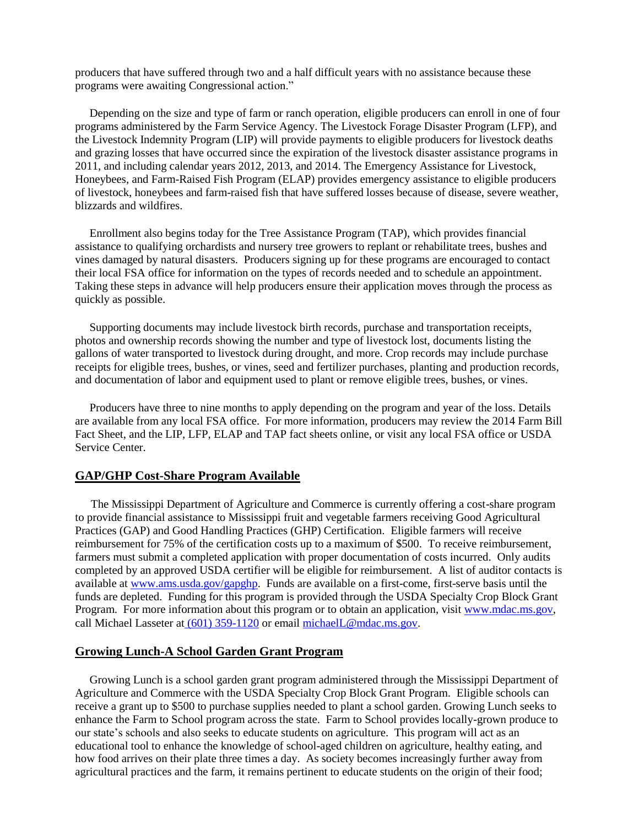producers that have suffered through two and a half difficult years with no assistance because these programs were awaiting Congressional action."

 Depending on the size and type of farm or ranch operation, eligible producers can enroll in one of four programs administered by the Farm Service Agency. The Livestock Forage Disaster Program (LFP), and the Livestock Indemnity Program (LIP) will provide payments to eligible producers for livestock deaths and grazing losses that have occurred since the expiration of the livestock disaster assistance programs in 2011, and including calendar years 2012, 2013, and 2014. The Emergency Assistance for Livestock, Honeybees, and Farm-Raised Fish Program (ELAP) provides emergency assistance to eligible producers of livestock, honeybees and farm-raised fish that have suffered losses because of disease, severe weather, blizzards and wildfires.

 Enrollment also begins today for the Tree Assistance Program (TAP), which provides financial assistance to qualifying orchardists and nursery tree growers to replant or rehabilitate trees, bushes and vines damaged by natural disasters. Producers signing up for these programs are encouraged to contact their local FSA office for information on the types of records needed and to schedule an appointment. Taking these steps in advance will help producers ensure their application moves through the process as quickly as possible.

 Supporting documents may include livestock birth records, purchase and transportation receipts, photos and ownership records showing the number and type of livestock lost, documents listing the gallons of water transported to livestock during drought, and more. Crop records may include purchase receipts for eligible trees, bushes, or vines, seed and fertilizer purchases, planting and production records, and documentation of labor and equipment used to plant or remove eligible trees, bushes, or vines.

 Producers have three to nine months to apply depending on the program and year of the loss. Details are available from any local FSA office. For more information, producers may review the 2014 Farm Bill Fact Sheet, and the LIP, LFP, ELAP and TAP fact sheets online, or visit any local FSA office or USDA Service Center.

## **GAP/GHP Cost-Share Program Available**

 The Mississippi Department of Agriculture and Commerce is currently offering a cost-share program to provide financial assistance to Mississippi fruit and vegetable farmers receiving Good Agricultural Practices (GAP) and Good Handling Practices (GHP) Certification. Eligible farmers will receive reimbursement for 75% of the certification costs up to a maximum of \$500. To receive reimbursement, farmers must submit a completed application with proper documentation of costs incurred. Only audits completed by an approved USDA certifier will be eligible for reimbursement. A list of auditor contacts is available at [www.ams.usda.gov/gapghp.](http://www.ams.usda.gov/gapghp) Funds are available on a first-come, first-serve basis until the funds are depleted. Funding for this program is provided through the USDA Specialty Crop Block Grant Program. For more information about this program or to obtain an application, visi[t www.mdac.ms.gov,](http://www.mdac.ms.gov/) call Michael Lasseter at [\(601\) 359-1120](callto:%28601%29%20359-1120) or email [michaelL@mdac.ms.gov.](mailto:michaelL@mdac.ms.gov)

# **Growing Lunch-A School Garden Grant Program**

 Growing Lunch is a school garden grant program administered through the Mississippi Department of Agriculture and Commerce with the USDA Specialty Crop Block Grant Program. Eligible schools can receive a grant up to \$500 to purchase supplies needed to plant a school garden. Growing Lunch seeks to enhance the Farm to School program across the state. Farm to School provides locally-grown produce to our state's schools and also seeks to educate students on agriculture. This program will act as an educational tool to enhance the knowledge of school-aged children on agriculture, healthy eating, and how food arrives on their plate three times a day. As society becomes increasingly further away from agricultural practices and the farm, it remains pertinent to educate students on the origin of their food;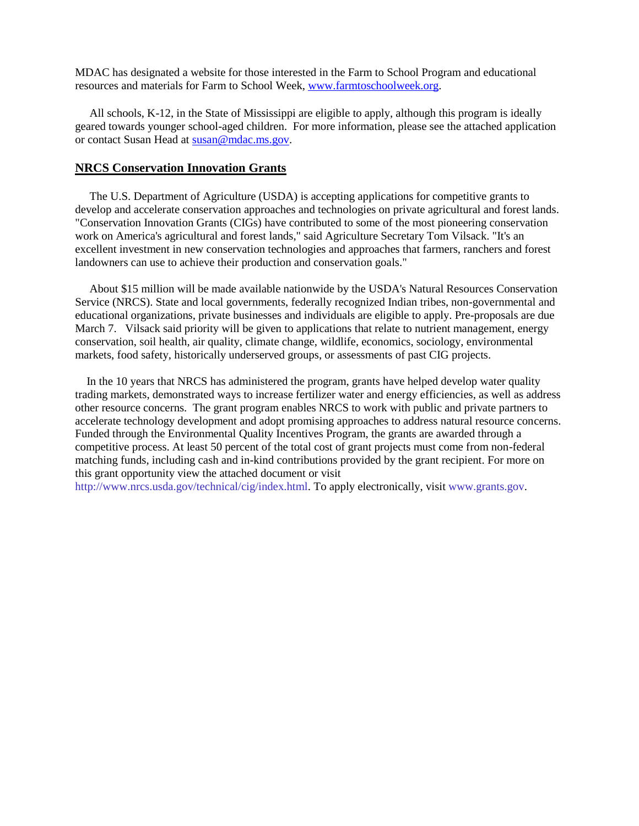MDAC has designated a website for those interested in the Farm to School Program and educational resources and materials for Farm to School Week, [www.farmtoschoolweek.org.](http://www.farmtoschoolweek.org/)

 All schools, K-12, in the State of Mississippi are eligible to apply, although this program is ideally geared towards younger school-aged children. For more information, please see the attached application or contact Susan Head at [susan@mdac.ms.gov.](mailto:susan@mdac.ms.gov)

## **NRCS Conservation Innovation Grants**

 The U.S. Department of Agriculture (USDA) is accepting applications for competitive grants to develop and accelerate conservation approaches and technologies on private agricultural and forest lands. "Conservation Innovation Grants (CIGs) have contributed to some of the most pioneering conservation work on America's agricultural and forest lands," said Agriculture Secretary Tom Vilsack. "It's an excellent investment in new conservation technologies and approaches that farmers, ranchers and forest landowners can use to achieve their production and conservation goals."

 About \$15 million will be made available nationwide by the USDA's Natural Resources Conservation Service (NRCS). State and local governments, federally recognized Indian tribes, non-governmental and educational organizations, private businesses and individuals are eligible to apply. Pre-proposals are due March 7. Vilsack said priority will be given to applications that relate to nutrient management, energy conservation, soil health, air quality, climate change, wildlife, economics, sociology, environmental markets, food safety, historically underserved groups, or assessments of past CIG projects.

 In the 10 years that NRCS has administered the program, grants have helped develop water quality trading markets, demonstrated ways to increase fertilizer water and energy efficiencies, as well as address other resource concerns. The grant program enables NRCS to work with public and private partners to accelerate technology development and adopt promising approaches to address natural resource concerns. Funded through the Environmental Quality Incentives Program, the grants are awarded through a competitive process. At least 50 percent of the total cost of grant projects must come from non-federal matching funds, including cash and in-kind contributions provided by the grant recipient. For more on this grant opportunity view the attached document or visit

[http://www.nrcs.usda.gov/technical/cig/index.html.](http://www.nrcs.usda.gov/technical/cig/index.html) To apply electronically, visi[t www.grants.gov.](http://www.grants.gov/)